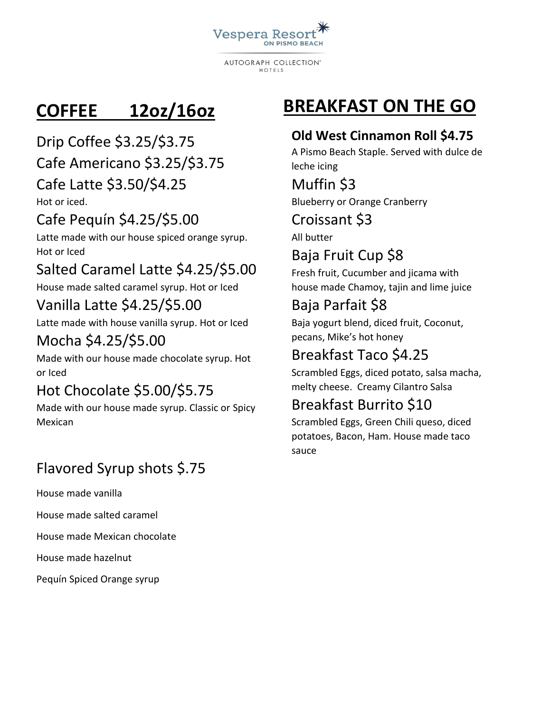

**AUTOGRAPH COLLECTION®** HOTFIS

# **COFFEE 12oz/16oz**

Drip Coffee \$3.25/\$3.75 Cafe Americano \$3.25/\$3.75

#### Cafe Latte \$3.50/\$4.25

Hot or iced.

#### Cafe Pequín \$4.25/\$5.00

Latte made with our house spiced orange syrup. Hot or Iced

## Salted Caramel Latte \$4.25/\$5.00

House made salted caramel syrup. Hot or Iced

#### Vanilla Latte \$4.25/\$5.00

Latte made with house vanilla syrup. Hot or Iced

#### Mocha \$4.25/\$5.00

Made with our house made chocolate syrup. Hot or Iced

### Hot Chocolate \$5.00/\$5.75

Made with our house made syrup. Classic or Spicy Mexican

### Flavored Syrup shots \$.75

House made vanilla

House made salted caramel

House made Mexican chocolate

House made hazelnut

Pequín Spiced Orange syrup

# **BREAKFAST ON THE GO**

#### **Old West Cinnamon Roll \$4.75**

A Pismo Beach Staple. Served with dulce de leche icing

Muffin \$3 Blueberry or Orange Cranberry

Croissant \$3

All butter

# Baja Fruit Cup \$8

Fresh fruit, Cucumber and jicama with house made Chamoy, tajin and lime juice

# Baja Parfait \$8

Baja yogurt blend, diced fruit, Coconut, pecans, Mike's hot honey

## Breakfast Taco \$4.25

Scrambled Eggs, diced potato, salsa macha, melty cheese. Creamy Cilantro Salsa

### Breakfast Burrito \$10

Scrambled Eggs, Green Chili queso, diced potatoes, Bacon, Ham. House made taco sauce